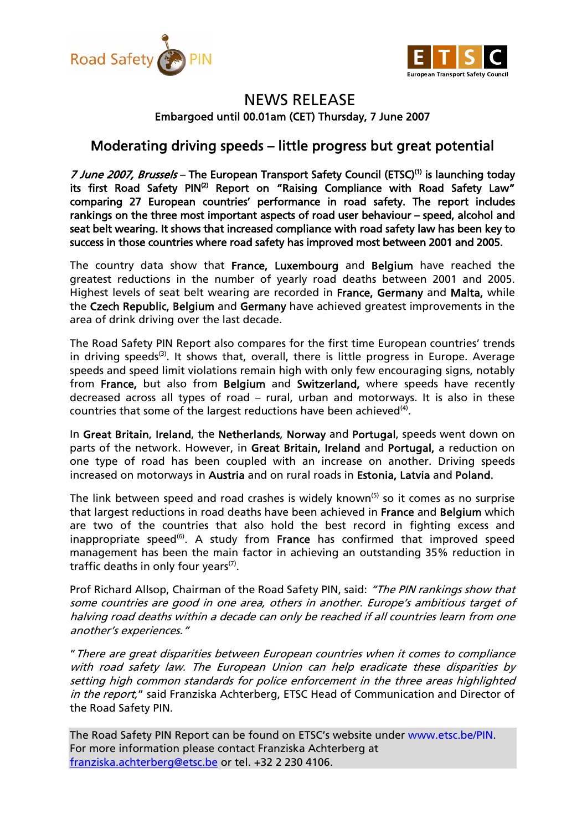



## NEWS RELEASE Embargoed until 00.01am (CET) Thursday, 7 June 2007

## Moderating driving speeds – little progress but great potential

7 June 2007, Brussels - The European Transport Safety Council (ETSC)<sup>(1)</sup> is launching today its first Road Safety PIN<sup>(2)</sup> Report on "Raising Compliance with Road Safety Law" comparing 27 European countries' performance in road safety. The report includes rankings on the three most important aspects of road user behaviour – speed, alcohol and seat belt wearing. It shows that increased compliance with road safety law has been key to success in those countries where road safety has improved most between 2001 and 2005.

The country data show that France, Luxembourg and Belgium have reached the greatest reductions in the number of yearly road deaths between 2001 and 2005. Highest levels of seat belt wearing are recorded in France, Germany and Malta, while the Czech Republic, Belgium and Germany have achieved greatest improvements in the area of drink driving over the last decade.

The Road Safety PIN Report also compares for the first time European countries' trends in driving speeds<sup>(3)</sup>. It shows that, overall, there is little progress in Europe. Average speeds and speed limit violations remain high with only few encouraging signs, notably from France, but also from Belgium and Switzerland, where speeds have recently decreased across all types of road – rural, urban and motorways. It is also in these countries that some of the largest reductions have been achieved<sup>(4)</sup>.

In Great Britain, Ireland, the Netherlands, Norway and Portugal, speeds went down on parts of the network. However, in Great Britain, Ireland and Portugal, a reduction on one type of road has been coupled with an increase on another. Driving speeds increased on motorways in Austria and on rural roads in Estonia, Latvia and Poland.

The link between speed and road crashes is widely known<sup>(5)</sup> so it comes as no surprise that largest reductions in road deaths have been achieved in France and Belgium which are two of the countries that also hold the best record in fighting excess and inappropriate speed<sup>(6)</sup>. A study from France has confirmed that improved speed management has been the main factor in achieving an outstanding 35% reduction in traffic deaths in only four years<sup> $(7)$ </sup>.

Prof Richard Allsop, Chairman of the Road Safety PIN, said: "The PIN rankings show that some countries are good in one area, others in another. Europe's ambitious target of halving road deaths within a decade can only be reached if all countries learn from one another's experiences."

"There are great disparities between European countries when it comes to compliance with road safety law. The European Union can help eradicate these disparities by setting high common standards for police enforcement in the three areas highlighted in the report," said Franziska Achterberg, ETSC Head of Communication and Director of the Road Safety PIN.

The Road Safety PIN Report can be found on ETSC's website under www.etsc.be/PIN. For more information please contact Franziska Achterberg at franziska.achterberg@etsc.be or tel. +32 2 230 4106.